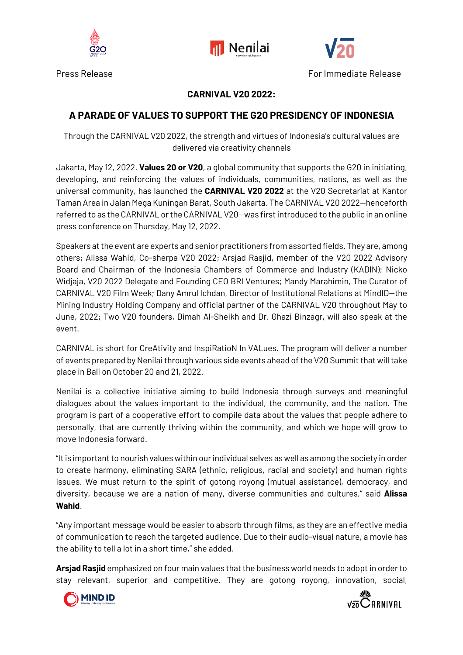





Press Release For Immediate Release

## **CARNIVAL V20 2022:**

## **A PARADE OF VALUES TO SUPPORT THE G20 PRESIDENCY OF INDONESIA**

Through the CARNIVAL V20 2022, the strength and virtues of Indonesia's cultural values are delivered via creativity channels

Jakarta, May 12, 2022. **Values 20 or V20**, a global community that supports the G20 in initiating, developing, and reinforcing the values of individuals, communities, nations, as well as the universal community, has launched the **CARNIVAL V20 2022** at the V20 Secretariat at Kantor Taman Area in Jalan Mega Kuningan Barat, South Jakarta. The CARNIVAL V20 2022—henceforth referred to as the CARNIVAL or the CARNIVAL V20—was first introduced to the public in an online press conference on Thursday, May 12, 2022.

Speakers at the event are experts and senior practitioners from assorted fields. They are, among others; Alissa Wahid, Co-sherpa V20 2022; Arsjad Rasjid, member of the V20 2022 Advisory Board and Chairman of the Indonesia Chambers of Commerce and Industry (KADIN); Nicko Widjaja, V20 2022 Delegate and Founding CEO BRI Ventures; Mandy Marahimin, The Curator of CARNIVAL V20 Film Week; Dany Amrul Ichdan, Director of Institutional Relations at MindID—the Mining Industry Holding Company and official partner of the CARNIVAL V20 throughout May to June, 2022; Two V20 founders, Dimah Al-Sheikh and Dr. Ghazi Binzagr, will also speak at the event.

CARNIVAL is short for CreAtivity and InspiRatioN In VALues. The program will deliver a number of events prepared by Nenilai through various side events ahead of the V20 Summit that will take place in Bali on October 20 and 21, 2022.

Nenilai is a collective initiative aiming to build Indonesia through surveys and meaningful dialogues about the values important to the individual, the community, and the nation. The program is part of a cooperative effort to compile data about the values that people adhere to personally, that are currently thriving within the community, and which we hope will grow to move Indonesia forward.

"It is important to nourish values within our individual selves as well as among the society in order to create harmony, eliminating SARA (ethnic, religious, racial and society) and human rights issues. We must return to the spirit of gotong royong (mutual assistance), democracy, and diversity, because we are a nation of many, diverse communities and cultures," said **Alissa Wahid**.

"Any important message would be easier to absorb through films, as they are an effective media of communication to reach the targeted audience. Due to their audio-visual nature, a movie has the ability to tell a lot in a short time," she added.

**Arsjad Rasjid** emphasized on four main values that the business world needs to adopt in order to stay relevant, superior and competitive. They are gotong royong, innovation, social,



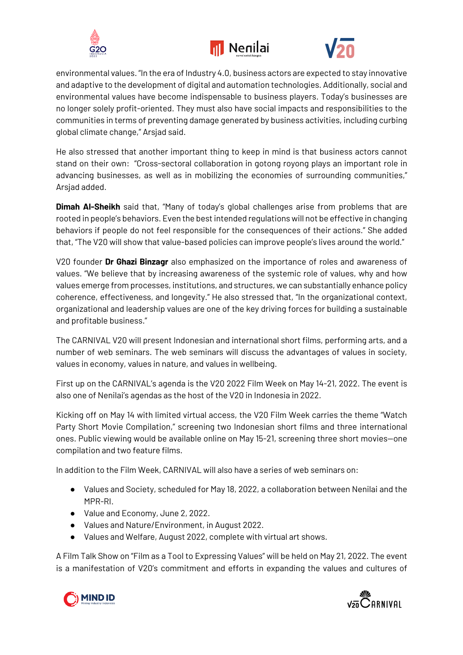





environmental values. "In the era of Industry 4.0, business actors are expected to stay innovative and adaptive to the development of digital and automation technologies. Additionally, social and environmental values have become indispensable to business players. Today's businesses are no longer solely profit-oriented. They must also have social impacts and responsibilities to the communities in terms of preventing damage generated by business activities, including curbing global climate change," Arsjad said.

He also stressed that another important thing to keep in mind is that business actors cannot stand on their own: "Cross-sectoral collaboration in gotong royong plays an important role in advancing businesses, as well as in mobilizing the economies of surrounding communities," Arsjad added.

**Dimah Al-Sheikh** said that, "Many of today's global challenges arise from problems that are rooted in people's behaviors. Even the best intended regulations will not be effective in changing behaviors if people do not feel responsible for the consequences of their actions." She added that, "The V20 will show that value-based policies can improve people's lives around the world."

V20 founder **Dr Ghazi Binzagr** also emphasized on the importance of roles and awareness of values. "We believe that by increasing awareness of the systemic role of values, why and how values emerge from processes, institutions, and structures, we can substantially enhance policy coherence, effectiveness, and longevity." He also stressed that, "In the organizational context, organizational and leadership values are one of the key driving forces for building a sustainable and profitable business."

The CARNIVAL V20 will present Indonesian and international short films, performing arts, and a number of web seminars. The web seminars will discuss the advantages of values in society, values in economy, values in nature, and values in wellbeing.

First up on the CARNIVAL's agenda is the V20 2022 Film Week on May 14-21, 2022. The event is also one of Nenilai's agendas as the host of the V20 in Indonesia in 2022.

Kicking off on May 14 with limited virtual access, the V20 Film Week carries the theme "Watch Party Short Movie Compilation," screening two Indonesian short films and three international ones. Public viewing would be available online on May 15-21, screening three short movies—one compilation and two feature films.

In addition to the Film Week, CARNIVAL will also have a series of web seminars on:

- Values and Society, scheduled for May 18, 2022, a collaboration between Nenilai and the MPR-RI.
- Value and Economy, June 2, 2022.
- Values and Nature/Environment, in August 2022.
- Values and Welfare, August 2022, complete with virtual art shows.

A Film Talk Show on "Film as a Tool to Expressing Values" will be held on May 21, 2022. The event is a manifestation of V20's commitment and efforts in expanding the values and cultures of



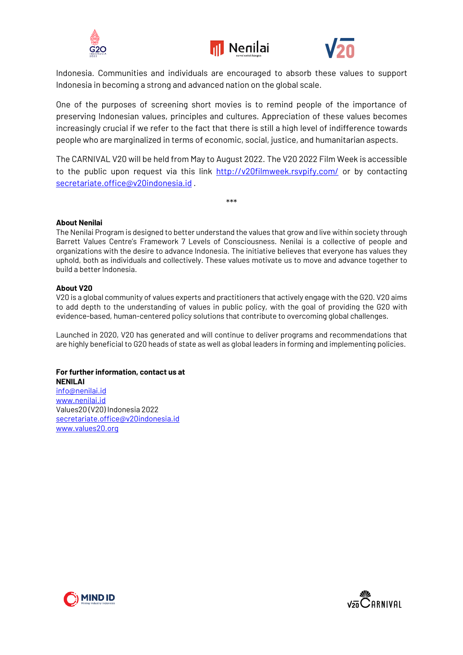





Indonesia. Communities and individuals are encouraged to absorb these values to support Indonesia in becoming a strong and advanced nation on the global scale.

One of the purposes of screening short movies is to remind people of the importance of preserving Indonesian values, principles and cultures. Appreciation of these values becomes increasingly crucial if we refer to the fact that there is still a high level of indifference towards people who are marginalized in terms of economic, social, justice, and humanitarian aspects.

The CARNIVAL V20 will be held from May to August 2022. The V20 2022 Film Week is accessible to the public upon request via this link http://v20filmweek.rsvpify.com/ or by contacting secretariate.office@v20indonesia.id .

\*\*\*

**About Nenilai**

The Nenilai Program is designed to better understand the values that grow and live within society through Barrett Values Centre's Framework 7 Levels of Consciousness. Nenilai is a collective of people and organizations with the desire to advance Indonesia. The initiative believes that everyone has values they uphold, both as individuals and collectively. These values motivate us to move and advance together to build a better Indonesia.

### **About V20**

V20 is a global community of values experts and practitioners that actively engage with the G20. V20 aims to add depth to the understanding of values in public policy, with the goal of providing the G20 with evidence-based, human-centered policy solutions that contribute to overcoming global challenges.

Launched in 2020, V20 has generated and will continue to deliver programs and recommendations that are highly beneficial to G20 heads of state as well as global leaders in forming and implementing policies.

#### **For further information, contact us at NENILAI**

info@nenilai.id www.nenilai.id Values20 (V20) Indonesia 2022 secretariate.office@v20indonesia.id www.values20.org



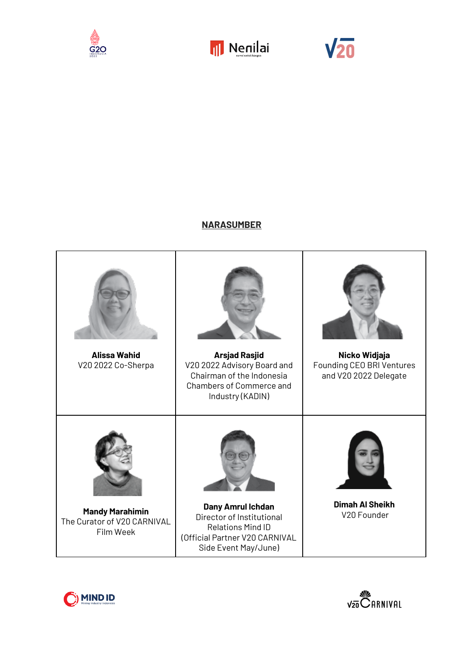





## **NARASUMBER**